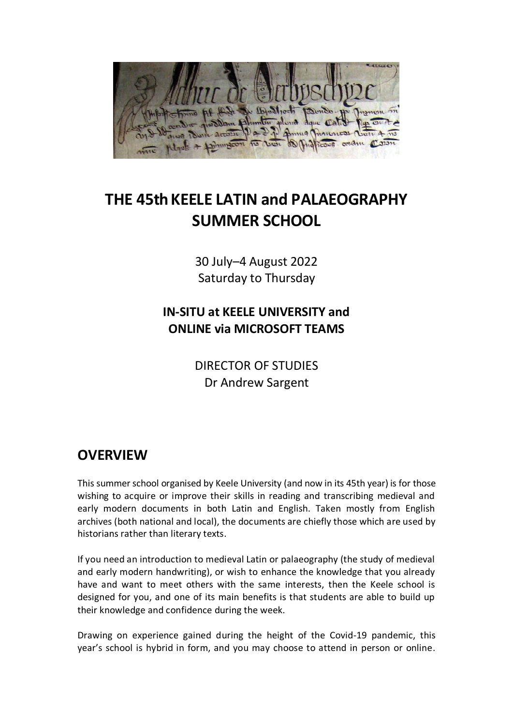

# **THE 45th KEELE LATIN and PALAEOGRAPHY SUMMER SCHOOL**

30 July–4 August 2022 Saturday to Thursday

### **IN-SITU at KEELE UNIVERSITY and ONLINE via MICROSOFT TEAMS**

DIRECTOR OF STUDIES Dr Andrew Sargent

### **OVERVIEW**

This summer school organised by Keele University (and now in its 45th year) is for those wishing to acquire or improve their skills in reading and transcribing medieval and early modern documents in both Latin and English. Taken mostly from English archives (both national and local), the documents are chiefly those which are used by historians rather than literary texts.

If you need an introduction to medieval Latin or palaeography (the study of medieval and early modern handwriting), or wish to enhance the knowledge that you already have and want to meet others with the same interests, then the Keele school is designed for you, and one of its main benefits is that students are able to build up their knowledge and confidence during the week.

Drawing on experience gained during the height of the Covid-19 pandemic, this year's school is hybrid in form, and you may choose to attend in person or online.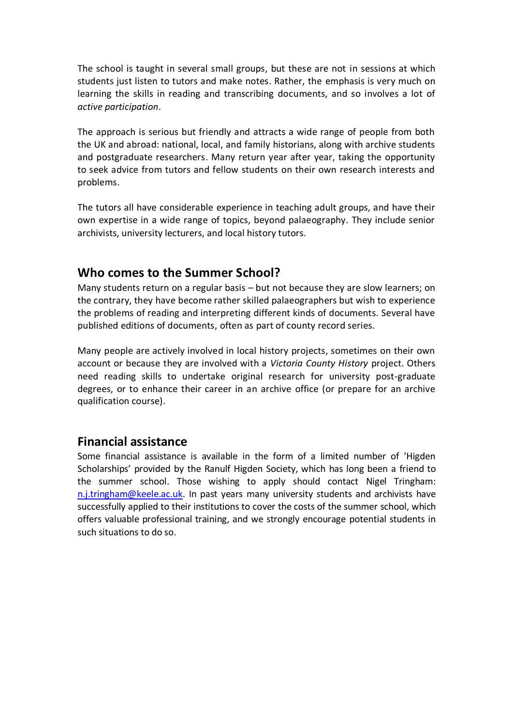The school is taught in several small groups, but these are not in sessions at which students just listen to tutors and make notes. Rather, the emphasis is very much on learning the skills in reading and transcribing documents, and so involves a lot of *active participation*.

The approach is serious but friendly and attracts a wide range of people from both the UK and abroad: national, local, and family historians, along with archive students and postgraduate researchers. Many return year after year, taking the opportunity to seek advice from tutors and fellow students on their own research interests and problems.

The tutors all have considerable experience in teaching adult groups, and have their own expertise in a wide range of topics, beyond palaeography. They include senior archivists, university lecturers, and local history tutors.

#### **Who comes to the Summer School?**

Many students return on a regular basis – but not because they are slow learners; on the contrary, they have become rather skilled palaeographers but wish to experience the problems of reading and interpreting different kinds of documents. Several have published editions of documents, often as part of county record series.

Many people are actively involved in local history projects, sometimes on their own account or because they are involved with a *Victoria County History* project. Others need reading skills to undertake original research for university post-graduate degrees, or to enhance their career in an archive office (or prepare for an archive qualification course).

#### **Financial assistance**

Some financial assistance is available in the form of a limited number of 'Higden Scholarships' provided by the Ranulf Higden Society, which has long been a friend to the summer school. Those wishing to apply should contact Nigel Tringham: [n.j.tringham@keele.ac.uk.](mailto:n.j.tringham@keele.ac.uk) In past years many university students and archivists have successfully applied to their institutions to cover the costs of the summer school, which offers valuable professional training, and we strongly encourage potential students in such situations to do so.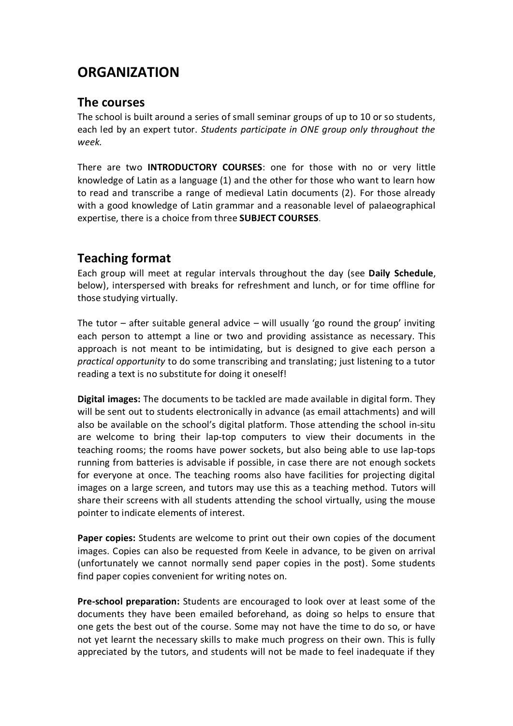## **ORGANIZATION**

#### **The courses**

The school is built around a series of small seminar groups of up to 10 or so students, each led by an expert tutor. *Students participate in ONE group only throughout the week.*

There are two **INTRODUCTORY COURSES**: one for those with no or very little knowledge of Latin as a language (1) and the other for those who want to learn how to read and transcribe a range of medieval Latin documents (2). For those already with a good knowledge of Latin grammar and a reasonable level of palaeographical expertise, there is a choice from three **SUBJECT COURSES**.

#### **Teaching format**

Each group will meet at regular intervals throughout the day (see **Daily Schedule**, below), interspersed with breaks for refreshment and lunch, or for time offline for those studying virtually.

The tutor – after suitable general advice – will usually 'go round the group' inviting each person to attempt a line or two and providing assistance as necessary. This approach is not meant to be intimidating, but is designed to give each person a *practical opportunity* to do some transcribing and translating; just listening to a tutor reading a text is no substitute for doing it oneself!

**Digital images:** The documents to be tackled are made available in digital form. They will be sent out to students electronically in advance (as email attachments) and will also be available on the school's digital platform. Those attending the school in-situ are welcome to bring their lap-top computers to view their documents in the teaching rooms; the rooms have power sockets, but also being able to use lap-tops running from batteries is advisable if possible, in case there are not enough sockets for everyone at once. The teaching rooms also have facilities for projecting digital images on a large screen, and tutors may use this as a teaching method. Tutors will share their screens with all students attending the school virtually, using the mouse pointer to indicate elements of interest.

**Paper copies:** Students are welcome to print out their own copies of the document images. Copies can also be requested from Keele in advance, to be given on arrival (unfortunately we cannot normally send paper copies in the post). Some students find paper copies convenient for writing notes on.

**Pre-school preparation:** Students are encouraged to look over at least some of the documents they have been emailed beforehand, as doing so helps to ensure that one gets the best out of the course. Some may not have the time to do so, or have not yet learnt the necessary skills to make much progress on their own. This is fully appreciated by the tutors, and students will not be made to feel inadequate if they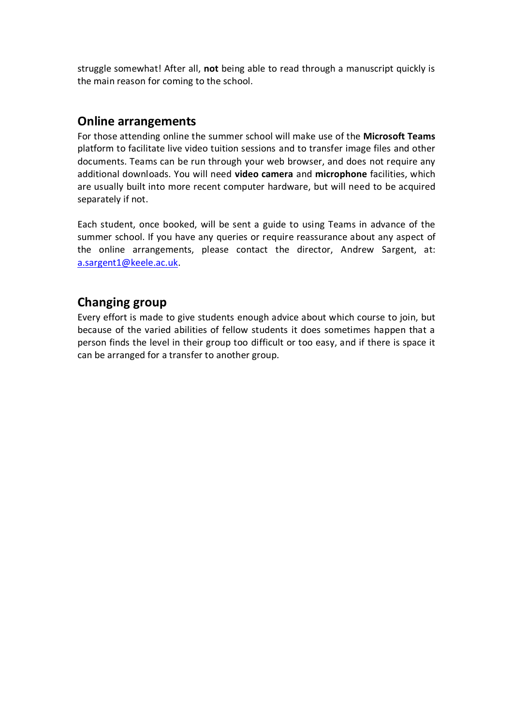struggle somewhat! After all, **not** being able to read through a manuscript quickly is the main reason for coming to the school.

#### **Online arrangements**

For those attending online the summer school will make use of the **Microsoft Teams** platform to facilitate live video tuition sessions and to transfer image files and other documents. Teams can be run through your web browser, and does not require any additional downloads. You will need **video camera** and **microphone** facilities, which are usually built into more recent computer hardware, but will need to be acquired separately if not.

Each student, once booked, will be sent a guide to using Teams in advance of the summer school. If you have any queries or require reassurance about any aspect of the online arrangements, please contact the director, Andrew Sargent, at: [a.sargent1@keele.ac.uk.](mailto:a.sargent1@keele.ac.uk)

#### **Changing group**

Every effort is made to give students enough advice about which course to join, but because of the varied abilities of fellow students it does sometimes happen that a person finds the level in their group too difficult or too easy, and if there is space it can be arranged for a transfer to another group.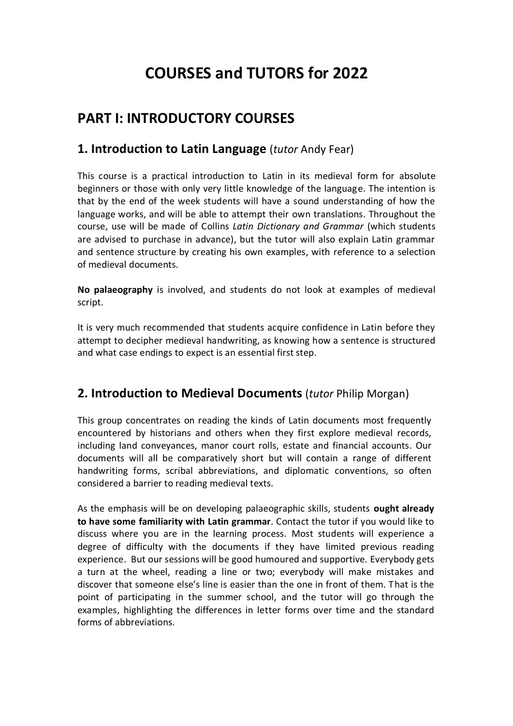# **COURSES and TUTORS for 2022**

## **PART I: INTRODUCTORY COURSES**

#### **1. Introduction to Latin Language** (*tutor* Andy Fear)

This course is a practical introduction to Latin in its medieval form for absolute beginners or those with only very little knowledge of the language. The intention is that by the end of the week students will have a sound understanding of how the language works, and will be able to attempt their own translations. Throughout the course, use will be made of Collins *Latin Dictionary and Grammar* (which students are advised to purchase in advance), but the tutor will also explain Latin grammar and sentence structure by creating his own examples, with reference to a selection of medieval documents.

**No palaeography** is involved, and students do not look at examples of medieval script.

It is very much recommended that students acquire confidence in Latin before they attempt to decipher medieval handwriting, as knowing how a sentence is structured and what case endings to expect is an essential first step.

#### **2. Introduction to Medieval Documents** (*tutor* Philip Morgan)

This group concentrates on reading the kinds of Latin documents most frequently encountered by historians and others when they first explore medieval records, including land conveyances, manor court rolls, estate and financial accounts. Our documents will all be comparatively short but will contain a range of different handwriting forms, scribal abbreviations, and diplomatic conventions, so often considered a barrier to reading medieval texts.

As the emphasis will be on developing palaeographic skills, students **ought already to have some familiarity with Latin grammar***.* Contact the tutor if you would like to discuss where you are in the learning process. Most students will experience a degree of difficulty with the documents if they have limited previous reading experience. But our sessions will be good humoured and supportive. Everybody gets a turn at the wheel, reading a line or two; everybody will make mistakes and discover that someone else's line is easier than the one in front of them. That is the point of participating in the summer school, and the tutor will go through the examples, highlighting the differences in letter forms over time and the standard forms of abbreviations.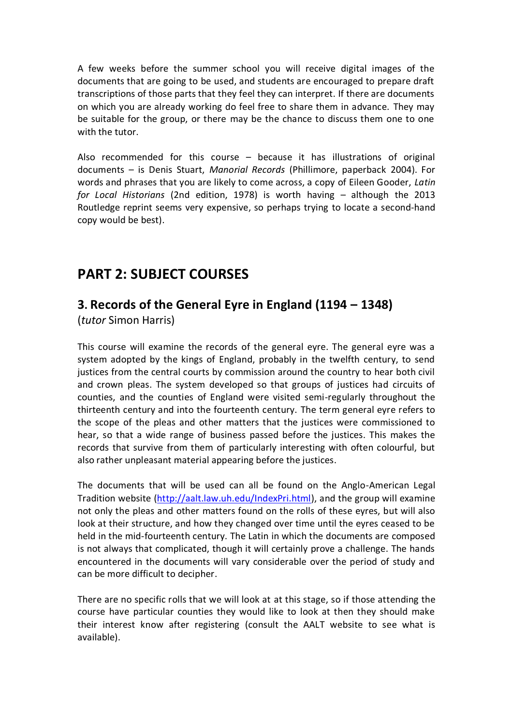A few weeks before the summer school you will receive digital images of the documents that are going to be used, and students are encouraged to prepare draft transcriptions of those parts that they feel they can interpret. If there are documents on which you are already working do feel free to share them in advance. They may be suitable for the group, or there may be the chance to discuss them one to one with the tutor.

Also recommended for this course – because it has illustrations of original documents – is Denis Stuart, *Manorial Records* (Phillimore, paperback 2004). For words and phrases that you are likely to come across, a copy of Eileen Gooder, *Latin for Local Historians* (2nd edition, 1978) is worth having – although the 2013 Routledge reprint seems very expensive, so perhaps trying to locate a second-hand copy would be best).

### **PART 2: SUBJECT COURSES**

### **3. Records of the General Eyre in England (1194 – 1348)**

(*tutor* Simon Harris)

This course will examine the records of the general eyre. The general eyre was a system adopted by the kings of England, probably in the twelfth century, to send justices from the central courts by commission around the country to hear both civil and crown pleas. The system developed so that groups of justices had circuits of counties, and the counties of England were visited semi-regularly throughout the thirteenth century and into the fourteenth century. The term general eyre refers to the scope of the pleas and other matters that the justices were commissioned to hear, so that a wide range of business passed before the justices. This makes the records that survive from them of particularly interesting with often colourful, but also rather unpleasant material appearing before the justices.

The documents that will be used can all be found on the Anglo-American Legal Tradition website [\(http://aalt.law.uh.edu/IndexPri.html\)](http://aalt.law.uh.edu/IndexPri.html), and the group will examine not only the pleas and other matters found on the rolls of these eyres, but will also look at their structure, and how they changed over time until the eyres ceased to be held in the mid-fourteenth century. The Latin in which the documents are composed is not always that complicated, though it will certainly prove a challenge. The hands encountered in the documents will vary considerable over the period of study and can be more difficult to decipher.

There are no specific rolls that we will look at at this stage, so if those attending the course have particular counties they would like to look at then they should make their interest know after registering (consult the AALT website to see what is available).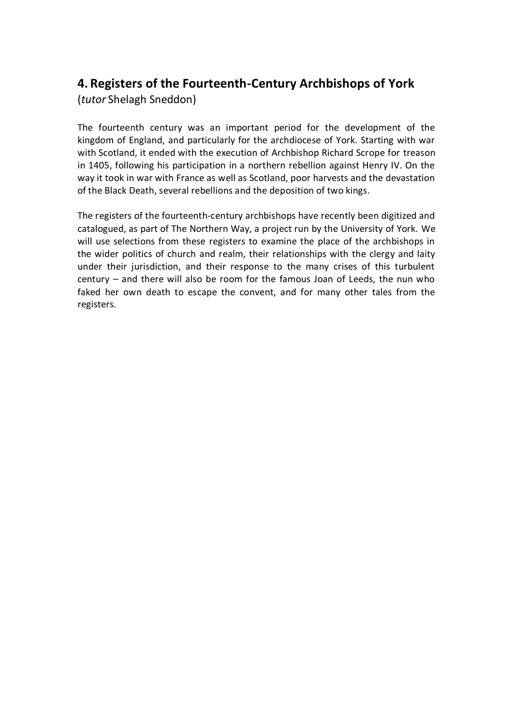### **4. Registers of the Fourteenth-Century Archbishops of York**

(*tutor* Shelagh Sneddon)

The fourteenth century was an important period for the development of the kingdom of England, and particularly for the archdiocese of York. Starting with war with Scotland, it ended with the execution of Archbishop Richard Scrope for treason in 1405, following his participation in a northern rebellion against Henry IV. On the way it took in war with France as well as Scotland, poor harvests and the devastation of the Black Death, several rebellions and the deposition of two kings.

The registers of the fourteenth-century archbishops have recently been digitized and catalogued, as part of The Northern Way, a project run by the University of York. We will use selections from these registers to examine the place of the archbishops in the wider politics of church and realm, their relationships with the clergy and laity under their jurisdiction, and their response to the many crises of this turbulent century – and there will also be room for the famous Joan of Leeds, the nun who faked her own death to escape the convent, and for many other tales from the registers.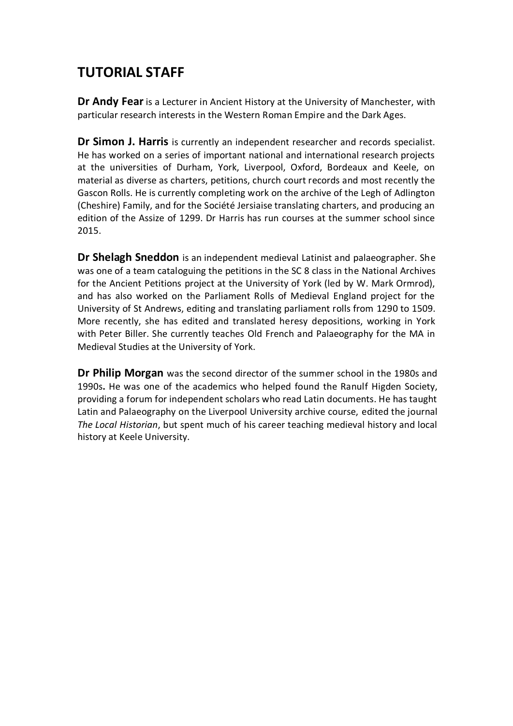# **TUTORIAL STAFF**

**Dr Andy Fear** is a Lecturer in Ancient History at the University of Manchester, with particular research interests in the Western Roman Empire and the Dark Ages.

**Dr Simon J. Harris** is currently an independent researcher and records specialist. He has worked on a series of important national and international research projects at the universities of Durham, York, Liverpool, Oxford, Bordeaux and Keele, on material as diverse as charters, petitions, church court records and most recently the Gascon Rolls. He is currently completing work on the archive of the Legh of Adlington (Cheshire) Family, and for the Société Jersiaise translating charters, and producing an edition of the Assize of 1299. Dr Harris has run courses at the summer school since 2015.

**Dr Shelagh Sneddon** is an independent medieval Latinist and palaeographer. She was one of a team cataloguing the petitions in the SC 8 class in the National Archives for the Ancient Petitions project at the University of York (led by W. Mark Ormrod), and has also worked on the Parliament Rolls of Medieval England project for the University of St Andrews, editing and translating parliament rolls from 1290 to 1509. More recently, she has edited and translated heresy depositions, working in York with Peter Biller. She currently teaches Old French and Palaeography for the MA in Medieval Studies at the University of York.

**Dr Philip Morgan** was the second director of the summer school in the 1980s and 1990s**.** He was one of the academics who helped found the Ranulf Higden Society, providing a forum for independent scholars who read Latin documents. He has taught Latin and Palaeography on the Liverpool University archive course, edited the journal *The Local Historian*, but spent much of his career teaching medieval history and local history at Keele University.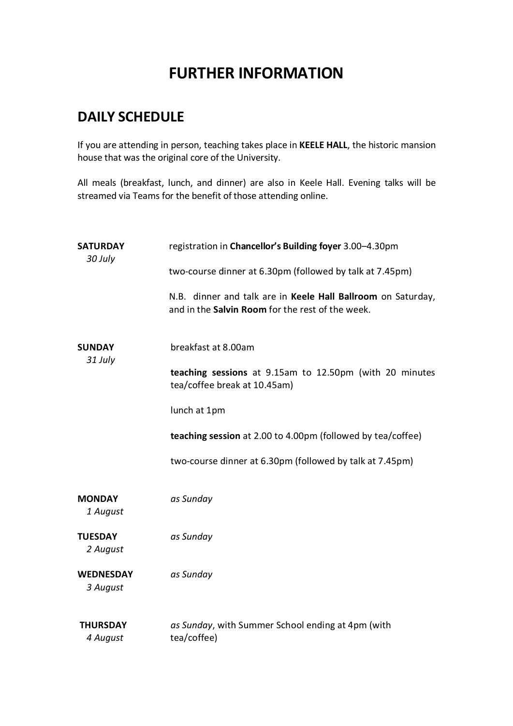# **FURTHER INFORMATION**

## **DAILY SCHEDULE**

If you are attending in person, teaching takes place in **KEELE HALL**, the historic mansion house that was the original core of the University.

All meals (breakfast, lunch, and dinner) are also in Keele Hall. Evening talks will be streamed via Teams for the benefit of those attending online.

| <b>SATURDAY</b><br>30 July   | registration in Chancellor's Building foyer 3.00-4.30pm<br>two-course dinner at 6.30pm (followed by talk at 7.45pm) |
|------------------------------|---------------------------------------------------------------------------------------------------------------------|
|                              | N.B. dinner and talk are in Keele Hall Ballroom on Saturday,<br>and in the Salvin Room for the rest of the week.    |
| <b>SUNDAY</b><br>31 July     | breakfast at 8.00am                                                                                                 |
|                              | teaching sessions at 9.15am to 12.50pm (with 20 minutes<br>tea/coffee break at 10.45am)                             |
|                              | lunch at 1pm                                                                                                        |
|                              | teaching session at 2.00 to 4.00pm (followed by tea/coffee)                                                         |
|                              | two-course dinner at 6.30pm (followed by talk at 7.45pm)                                                            |
| <b>MONDAY</b><br>1 August    | as Sunday                                                                                                           |
| <b>TUESDAY</b><br>2 August   | as Sunday                                                                                                           |
| <b>WEDNESDAY</b><br>3 August | as Sunday                                                                                                           |
| <b>THURSDAY</b><br>4 August  | as Sunday, with Summer School ending at 4pm (with<br>tea/coffee)                                                    |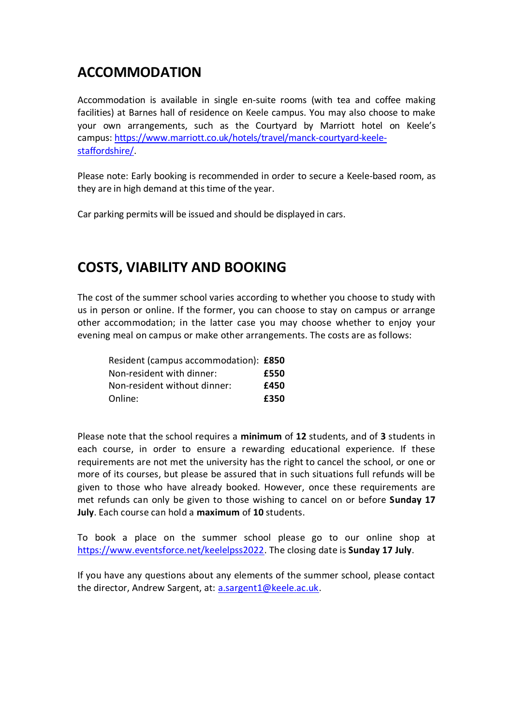### **ACCOMMODATION**

Accommodation is available in single en-suite rooms (with tea and coffee making facilities) at Barnes hall of residence on Keele campus. You may also choose to make your own arrangements, such as the Courtyard by Marriott hotel on Keele's campus: [https://www.marriott.co.uk/hotels/travel/manck-courtyard-keele](https://www.marriott.co.uk/hotels/travel/manck-courtyard-keele-staffordshire/)[staffordshire/.](https://www.marriott.co.uk/hotels/travel/manck-courtyard-keele-staffordshire/)

Please note: Early booking is recommended in order to secure a Keele-based room, as they are in high demand at this time of the year.

Car parking permits will be issued and should be displayed in cars.

### **COSTS, VIABILITY AND BOOKING**

The cost of the summer school varies according to whether you choose to study with us in person or online. If the former, you can choose to stay on campus or arrange other accommodation; in the latter case you may choose whether to enjoy your evening meal on campus or make other arrangements. The costs are as follows:

| Resident (campus accommodation): £850 |      |
|---------------------------------------|------|
| Non-resident with dinner:             | £550 |
| Non-resident without dinner:          | £450 |
| Online:                               | £350 |

Please note that the school requires a **minimum** of **12** students, and of **3** students in each course, in order to ensure a rewarding educational experience. If these requirements are not met the university has the right to cancel the school, or one or more of its courses, but please be assured that in such situations full refunds will be given to those who have already booked. However, once these requirements are met refunds can only be given to those wishing to cancel on or before **Sunday 17 July**. Each course can hold a **maximum** of **10** students.

To book a place on the summer school please go to our online shop at [https://www.eventsforce.net/keelelpss2022.](https://www.eventsforce.net/keelelpss2022) The closing date is **Sunday 17 July**.

If you have any questions about any elements of the summer school, please contact the director, Andrew Sargent, at: [a.sargent1@keele.ac.uk.](mailto:a.sargent1@keele.ac.uk)